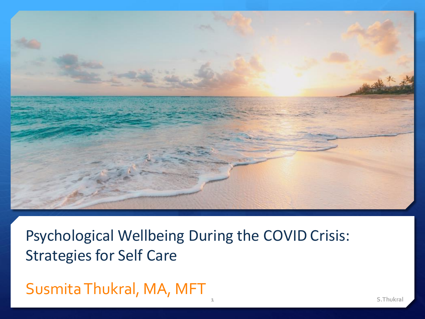

Psychological Wellbeing During the COVID Crisis: Strategies for Self Care

Susmita Thukral, MA, MFT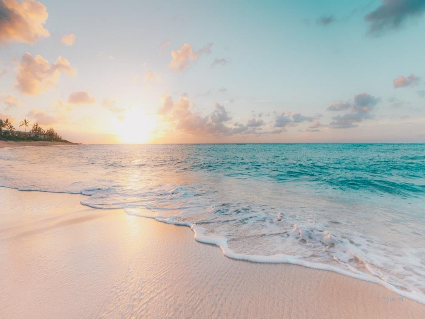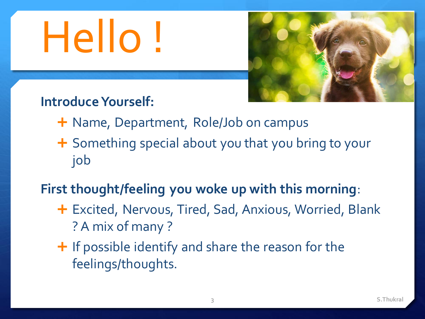# Hello !



#### **Introduce Yourself:**

- Name, Department, Role/Job on campus
- + Something special about you that you bring to your job

#### **First thought/feeling you woke up with this morning**:

- + Excited, Nervous, Tired, Sad, Anxious, Worried, Blank ? A mix of many ?
- $\pm$  If possible identify and share the reason for the feelings/thoughts.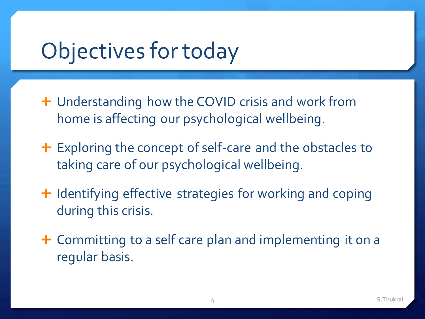### Objectives for today

- Understanding how the COVID crisis and work from home is affecting our psychological wellbeing.
- + Exploring the concept of self-care and the obstacles to taking care of our psychological wellbeing.
- $\pm$  Identifying effective strategies for working and coping during this crisis.
- + Committing to a self care plan and implementing it on a regular basis.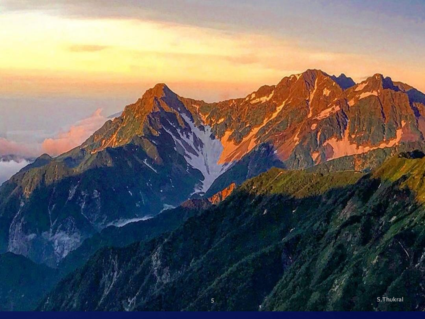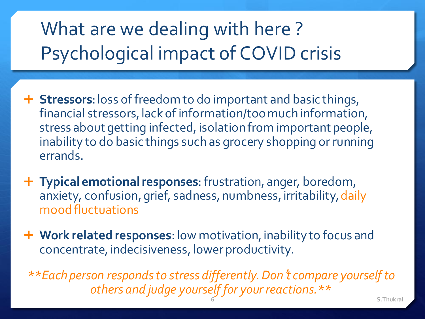What are we dealing with here ? Psychological impact of COVID crisis

- **Stressors**: loss of freedom to do important and basic things, financial stressors, lack of information/too much information, stress about getting infected, isolation from important people, inability to do basic things such as grocery shopping or running errands.
- **Typical emotional responses**: frustration, anger, boredom, anxiety, confusion, grief, sadness, numbness, irritability, daily mood fluctuations
- **Work related responses**: low motivation, inability to focus and concentrate, indecisiveness, lower productivity.

*\*\*Each person responds to stress differently. Don*'*t compare yourself to others and judge yourself for your reactions.\*\** **6 S.Thukral**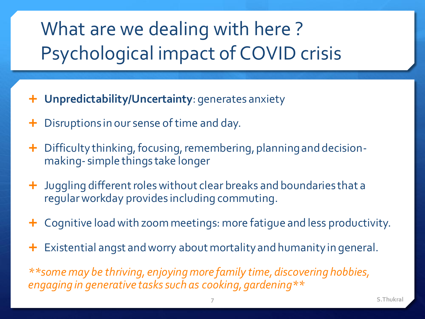### What are we dealing with here ? Psychological impact of COVID crisis

- **Unpredictability/Uncertainty**: generates anxiety
- **+** Disruptions in our sense of time and day.
- Difficulty thinking, focusing, remembering, planning and decisionmaking- simple things take longer
- $+$  Juggling different roles without clear breaks and boundaries that a regular workday provides including commuting.
- **+** Cognitive load with zoom meetings: more fatigue and less productivity.
- Existential angst and worry about mortality and humanity in general.

*\*\*some may be thriving, enjoying more family time, discovering hobbies, engaging in generative tasks such as cooking, gardening\*\**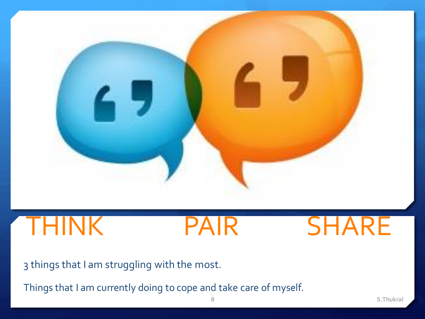

### THINK PAIR SHARE



3 things that I am struggling with the most.

Things that I am currently doing to cope and take care of myself.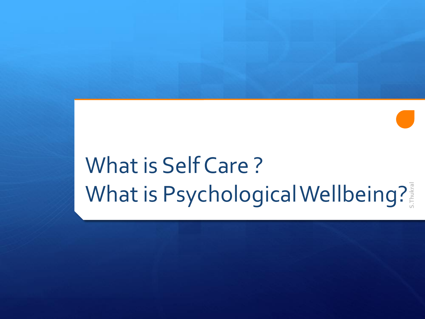## What is Self Care ? What is Psychological Wellbeing?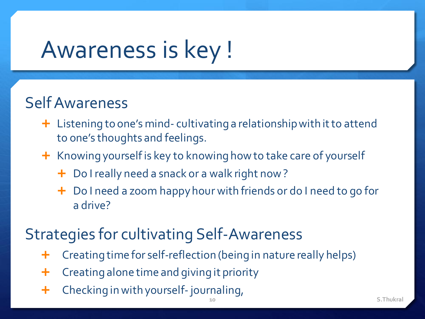### Awareness is key !

#### Self Awareness

- $\pm$  Listening to one's mind- cultivating a relationship with it to attend to one's thoughts and feelings.
- $\pm$  Knowing yourself is key to knowing how to take care of yourself
	- + Do I really need a snack or a walk right now?
	- **+** Do I need a zoom happy hour with friends or do I need to go for a drive?

#### Strategies for cultivating Self-Awareness

- **+** Creating time for self-reflection (being in nature really helps)
- **+** Creating alone time and giving it priority
- **+** Checking in with yourself-journaling,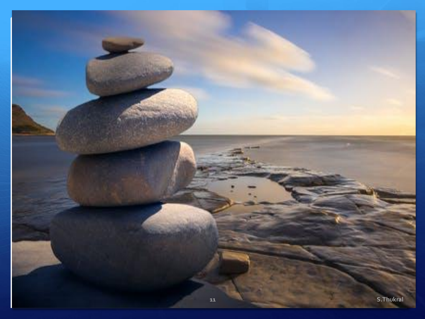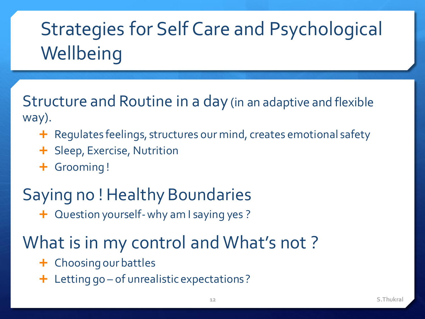### Strategies for Self Care and Psychological **Wellbeing**

Structure and Routine in a day (in an adaptive and flexible way).

- **+** Regulates feelings, structures our mind, creates emotional safety
- + Sleep, Exercise, Nutrition
- Grooming !

#### Saying no ! Healthy Boundaries

+ Question yourself-why am I saying yes?

#### What is in my control and What's not?

- + Choosing our battles
- + Letting go of unrealistic expectations?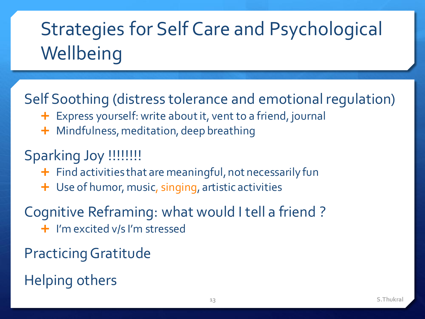### Strategies for Self Care and Psychological **Wellbeing**

#### Self Soothing (distress tolerance and emotional regulation)

- Express yourself: write about it, vent to a friend, journal
- Mindfulness, meditation, deep breathing

#### Sparking Joy !!!!!!!!

- $\pm$  Find activities that are meaningful, not necessarily fun
- + Use of humor, music, singing, artistic activities

#### Cognitive Reframing: what would I tell a friend ?

- $+$  I'm excited v/s I'm stressed
- Practicing Gratitude

#### Helping others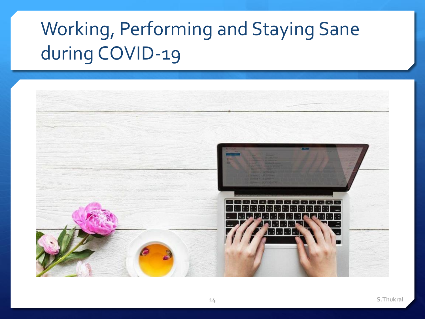### Working, Performing and Staying Sane during COVID-19

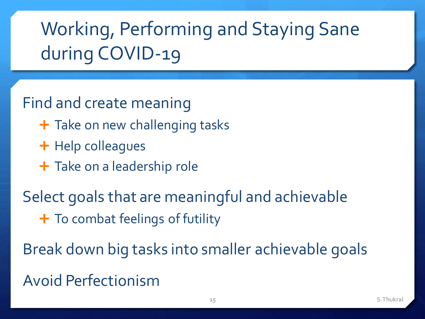### Working, Performing and Staying Sane during COVID-19

Find and create meaning

- $+$  Take on new challenging tasks
- $+$  Help colleagues
- + Take on a leadership role

Select goals that are meaningful and achievable  $+$  To combat feelings of futility

Break down big tasks into smaller achievable goals

Avoid Perfectionism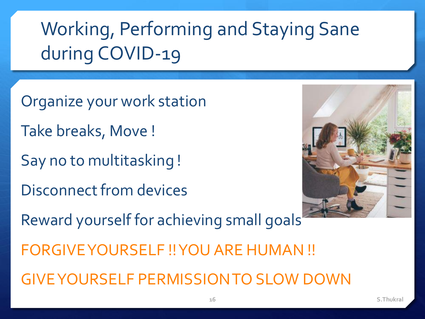### Working, Performing and Staying Sane during COVID-19

Organize your work station

Take breaks, Move !

Say no to multitasking !

Disconnect from devices



Reward yourself for achieving small goals

FORGIVE YOURSELF !! YOU ARE HUMAN !!

GIVE YOURSELF PERMISSION TO SLOW DOWN